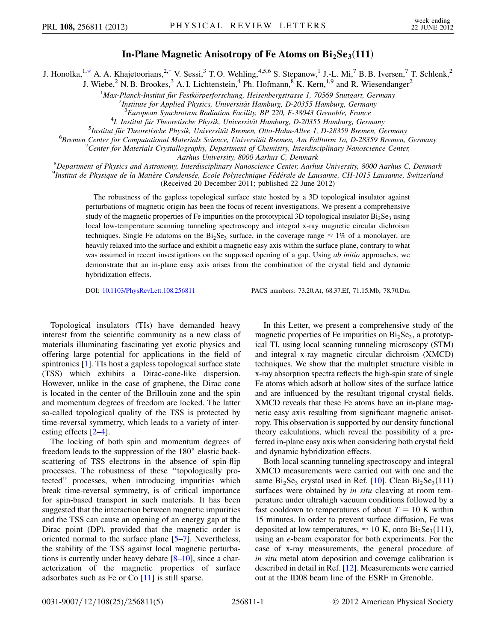## In-Plane Magnetic Anisotropy of Fe Atoms on  $Bi_2Se_3(111)$

<span id="page-0-0"></span>J. Honolka,<sup>1[,\\*](#page-4-0)</sup> A. A. Khajetoorians,<sup>2,[†](#page-4-1)</sup> V. Sessi,<sup>3</sup> T. O. Wehling,<sup>4,5,6</sup> S. Stepanow,<sup>1</sup> J.-L. Mi,<sup>7</sup> B. B. Iversen,<sup>7</sup> T. Schlenk,<sup>2</sup>

J. Wiebe,<sup>2</sup> N. B. Brookes,<sup>3</sup> A. I. Lichtenstein,<sup>4</sup> Ph. Hofmann,<sup>8</sup> K. Kern,<sup>1,9</sup> and R. Wiesendanger<sup>2</sup>

<sup>1</sup>Max-Planck-Institut für Festkörperforschung, Heisenbergstrasse 1, 70569 Stuttgart, Germany

<sup>2</sup>Institute for Applied Physics, Universität Hamburg, D-20355 Hamburg, Germany

 ${}^{3}$ European Synchrotron Radiation Facility, BP 220, F-38043 Grenoble, France

 $^{4}$ I. Institut für Theoretische Physik, Universität Hamburg, D-20355 Hamburg, Germany

 ${}^{5}$ Institut für Theoretische Physik, Universität Bremen, Otto-Hahn-Allee 1, D-28359 Bremen, Germany

<sup>6</sup>Bremen Center for Computational Materials Science, Universität Bremen, Am Fallturm 1a, D-28359 Bremen, Germany

<sup>7</sup> Center for Materials Crystallography, Department of Chemistry, Interdisciplinary Nanoscience Center,

Aarhus University, 8000 Aarhus C, Denmark<br><sup>8</sup>Department of Physics and Astronomy, Interdisciplinary Nanoscience Center, Aarhus University, 8000 Aarhus C, Denmark <sup>9</sup>Institut de Physique de la Matière Condensée, Ecole Polytechnique Fédérale de Lausanne, CH-1015 Lausanne, Switzerland

(Received 20 December 2011; published 22 June 2012)

The robustness of the gapless topological surface state hosted by a 3D topological insulator against perturbations of magnetic origin has been the focus of recent investigations. We present a comprehensive study of the magnetic properties of Fe impurities on the prototypical 3D topological insulator  $Bi_2Se_3$  using local low-temperature scanning tunneling spectroscopy and integral x-ray magnetic circular dichroism techniques. Single Fe adatoms on the  $Bi_2Se_3$  surface, in the coverage range  $\approx 1\%$  of a monolayer, are heavily relaxed into the surface and exhibit a magnetic easy axis within the surface plane, contrary to what was assumed in recent investigations on the supposed opening of a gap. Using *ab initio* approaches, we demonstrate that an in-plane easy axis arises from the combination of the crystal field and dynamic hybridization effects.

DOI: [10.1103/PhysRevLett.108.256811](http://dx.doi.org/10.1103/PhysRevLett.108.256811) PACS numbers: 73.20.At, 68.37.Ef, 71.15.Mb, 78.70.Dm

Topological insulators (TIs) have demanded heavy interest from the scientific community as a new class of materials illuminating fascinating yet exotic physics and offering large potential for applications in the field of spintronics [[1](#page-4-2)]. TIs host a gapless topological surface state (TSS) which exhibits a Dirac-cone-like dispersion. However, unlike in the case of graphene, the Dirac cone is located in the center of the Brillouin zone and the spin and momentum degrees of freedom are locked. The latter so-called topological quality of the TSS is protected by time-reversal symmetry, which leads to a variety of interesting effects [\[2–](#page-4-3)[4\]](#page-4-4).

The locking of both spin and momentum degrees of freedom leads to the suppression of the 180° elastic backscattering of TSS electrons in the absence of spin-flip processes. The robustness of these ''topologically protected'' processes, when introducing impurities which break time-reversal symmetry, is of critical importance for spin-based transport in such materials. It has been suggested that the interaction between magnetic impurities and the TSS can cause an opening of an energy gap at the Dirac point (DP), provided that the magnetic order is oriented normal to the surface plane [\[5](#page-4-5)–[7\]](#page-4-6). Nevertheless, the stability of the TSS against local magnetic perturbations is currently under heavy debate [[8](#page-4-7)[–10\]](#page-4-8), since a characterization of the magnetic properties of surface adsorbates such as Fe or Co [\[11\]](#page-4-9) is still sparse.

In this Letter, we present a comprehensive study of the magnetic properties of Fe impurities on  $Bi<sub>2</sub>Se<sub>3</sub>$ , a prototypical TI, using local scanning tunneling microscopy (STM) and integral x-ray magnetic circular dichroism (XMCD) techniques. We show that the multiplet structure visible in x-ray absorption spectra reflects the high-spin state of single Fe atoms which adsorb at hollow sites of the surface lattice and are influenced by the resultant trigonal crystal fields. XMCD reveals that these Fe atoms have an in-plane magnetic easy axis resulting from significant magnetic anisotropy. This observation is supported by our density functional theory calculations, which reveal the possibility of a preferred in-plane easy axis when considering both crystal field and dynamic hybridization effects.

Both local scanning tunneling spectroscopy and integral XMCD measurements were carried out with one and the same  $Bi<sub>2</sub>Se<sub>3</sub>$  crystal used in Ref. [\[10\]](#page-4-8). Clean  $Bi<sub>2</sub>Se<sub>3</sub>(111)$ surfaces were obtained by *in situ* cleaving at room temperature under ultrahigh vacuum conditions followed by a fast cooldown to temperatures of about  $T = 10$  K within 15 minutes. In order to prevent surface diffusion, Fe was deposited at low temperatures,  $\approx 10$  K, onto Bi<sub>2</sub>Se<sub>3</sub>(111), using an e-beam evaporator for both experiments. For the case of x-ray measurements, the general procedure of in situ metal atom deposition and coverage calibration is described in detail in Ref. [[12](#page-4-10)]. Measurements were carried out at the ID08 beam line of the ESRF in Grenoble.

0031-9007/12/108(25)/256811(5) 256811-1 © 2012 American Physical Society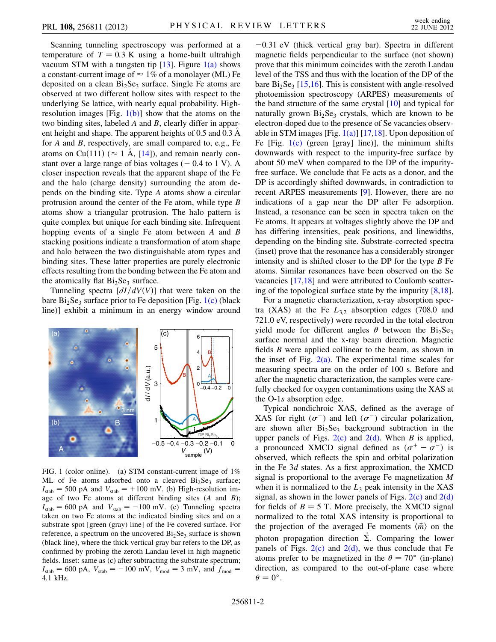Scanning tunneling spectroscopy was performed at a temperature of  $T = 0.3$  K using a home-built ultrahigh vacuum STM with a tungsten tip  $[13]$ . Figure  $1(a)$  shows a constant-current image of  $\approx 1\%$  of a monolayer (ML) Fe deposited on a clean  $Bi<sub>2</sub>Se<sub>3</sub>$  surface. Single Fe atoms are observed at two different hollow sites with respect to the underlying Se lattice, with nearly equal probability. Highresolution images [Fig.  $1(b)$ ] show that the atoms on the two binding sites, labeled A and B, clearly differ in apparent height and shape. The apparent heights of 0.5 and 0.3 Å for A and B, respectively, are small compared to, e.g., Fe atoms on Cu(111) ( $\approx 1$  Å, [\[14\]](#page-4-12)), and remain nearly constant over a large range of bias voltages  $(-0.4 \text{ to } 1 \text{ V})$ . A closer inspection reveals that the apparent shape of the Fe and the halo (charge density) surrounding the atom depends on the binding site. Type A atoms show a circular protrusion around the center of the Fe atom, while type B atoms show a triangular protrusion. The halo pattern is quite complex but unique for each binding site. Infrequent hopping events of a single Fe atom between A and B stacking positions indicate a transformation of atom shape and halo between the two distinguishable atom types and binding sites. These latter properties are purely electronic effects resulting from the bonding between the Fe atom and the atomically flat  $Bi<sub>2</sub>Se<sub>3</sub>$  surface.

Tunneling spectra  $\left[dI/dV(V)\right]$  that were taken on the bare  $Bi<sub>2</sub>Se<sub>3</sub>$  surface prior to Fe deposition [Fig. [1\(c\)](#page-1-0) (black line)] exhibit a minimum in an energy window around



<span id="page-1-0"></span>FIG. 1 (color online). (a) STM constant-current image of 1% ML of Fe atoms adsorbed onto a cleaved  $Bi<sub>2</sub>Se<sub>3</sub>$  surface;  $I_{\text{stab}} = 500 \text{ pA}$  and  $V_{\text{stab}} = +100 \text{ mV}$ . (b) High-resolution image of two Fe atoms at different binding sites  $(A \text{ and } B)$ ;  $I_{\text{stab}} = 600 \text{ pA}$  and  $V_{\text{stab}} = -100 \text{ mV}$ . (c) Tunneling spectra taken on two Fe atoms at the indicated binding sites and on a substrate spot [green (gray) line] of the Fe covered surface. For reference, a spectrum on the uncovered  $Bi<sub>2</sub>Se<sub>3</sub>$  surface is shown (black line), where the thick vertical gray bar refers to the DP, as confirmed by probing the zeroth Landau level in high magnetic fields. Inset: same as (c) after subtracting the substrate spectrum;  $I_{\text{stab}} = 600 \text{ pA}, V_{\text{stab}} = -100 \text{ mV}, V_{\text{mod}} = 3 \text{ mV}, \text{ and } f_{\text{mod}} =$ 4:1 kHz.

 $-0.31$  eV (thick vertical gray bar). Spectra in different magnetic fields perpendicular to the surface (not shown) prove that this minimum coincides with the zeroth Landau level of the TSS and thus with the location of the DP of the bare  $Bi<sub>2</sub>Se<sub>3</sub>$  [\[15,](#page-4-13)[16\]](#page-4-14). This is consistent with angle-resolved photoemission spectroscopy (ARPES) measurements of the band structure of the same crystal [[10](#page-4-8)] and typical for naturally grown  $Bi<sub>2</sub>Se<sub>3</sub>$  crystals, which are known to be electron-doped due to the presence of Se vacancies observable in STM images [Fig.  $1(a)$ ] [\[17,](#page-4-15)[18](#page-4-16)]. Upon deposition of Fe [Fig.  $1(c)$  (green [gray] line)], the minimum shifts downwards with respect to the impurity-free surface by about 50 meV when compared to the DP of the impurityfree surface. We conclude that Fe acts as a donor, and the DP is accordingly shifted downwards, in contradiction to recent ARPES measurements [\[9\]](#page-4-17). However, there are no indications of a gap near the DP after Fe adsorption. Instead, a resonance can be seen in spectra taken on the Fe atoms. It appears at voltages slightly above the DP and has differing intensities, peak positions, and linewidths, depending on the binding site. Substrate-corrected spectra (inset) prove that the resonance has a considerably stronger intensity and is shifted closer to the DP for the type  $B$  Fe atoms. Similar resonances have been observed on the Se vacancies [[17](#page-4-15)[,18](#page-4-16)] and were attributed to Coulomb scattering of the topological surface state by the impurity [[8,](#page-4-7)[18\]](#page-4-16).

For a magnetic characterization, x-ray absorption spectra (XAS) at the Fe  $L_{3,2}$  absorption edges (708.0 and 721.0 eV, respectively) were recorded in the total electron yield mode for different angles  $\theta$  between the Bi<sub>2</sub>Se<sub>3</sub> surface normal and the x-ray beam direction. Magnetic fields B were applied collinear to the beam, as shown in the inset of Fig.  $2(a)$ . The experimental time scales for measuring spectra are on the order of 100 s. Before and after the magnetic characterization, the samples were carefully checked for oxygen contaminations using the XAS at the O-1s absorption edge.

Typical nondichroic XAS, defined as the average of XAS for right  $(\sigma^+)$  and left  $(\sigma^-)$  circular polarization, are shown after  $Bi<sub>2</sub>Se<sub>3</sub>$  background subtraction in the upper panels of Figs.  $2(c)$  and  $2(d)$ . When B is applied, a pronounced XMCD signal defined as  $(\sigma^+ - \sigma^-)$  is observed, which reflects the spin and orbital polarization in the Fe 3d states. As a first approximation, the XMCD signal is proportional to the average Fe magnetization  $M$ when it is normalized to the  $L_3$  peak intensity in the XAS signal, as shown in the lower panels of Figs.  $2(c)$  and  $2(d)$ for fields of  $B = 5$  T. More precisely, the XMCD signal normalized to the total XAS intensity is proportional to the projection of the averaged Fe moments  $\langle \vec{m} \rangle$  on the photon propagation direction  $\vec{\Sigma}$ . Comparing the lower panels of Figs.  $2(c)$  and  $2(d)$ , we thus conclude that Fe atoms prefer to be magnetized in the  $\theta = 70^{\circ}$  (in-plane) direction, as compared to the out-of-plane case where  $\theta = 0^{\circ}.$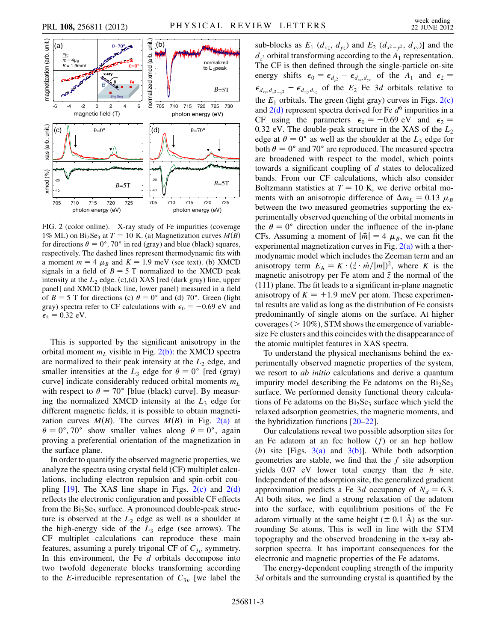

<span id="page-2-0"></span>FIG. 2 (color online). X-ray study of Fe impurities (coverage 1% ML) on Bi<sub>2</sub>Se<sub>3</sub> at  $T = 10$  K. (a) Magnetization curves  $M(B)$ for directions  $\hat{\theta} = 0^{\circ}$ , 70° in red (gray) and blue (black) squares, respectively. The dashed lines represent thermodynamic fits with a moment  $m = 4 \mu_B$  and  $K = 1.9$  meV (see text). (b) XMCD signals in a field of  $B = 5$  T normalized to the XMCD peak intensity at the  $L_2$  edge. (c),(d) XAS [red (dark gray) line, upper panel] and XMCD (black line, lower panel) measured in a field of  $B = 5$  T for directions (c)  $\theta = 0^{\circ}$  and (d) 70°. Green (light gray) spectra refer to CF calculations with  $\epsilon_0 = -0.69$  eV and  $\epsilon_2 = 0.32$  eV.

This is supported by the significant anisotropy in the orbital moment  $m<sub>L</sub>$  visible in Fig. [2\(b\):](#page-2-0) the XMCD spectra are normalized to their peak intensity at the  $L_2$  edge, and smaller intensities at the  $L_3$  edge for  $\theta = 0^{\circ}$  [red (gray) curve] indicate considerably reduced orbital moments  $m<sub>L</sub>$ with respect to  $\theta = 70^{\circ}$  [blue (black) curve]. By measuring the normalized XMCD intensity at the  $L_3$  edge for different magnetic fields, it is possible to obtain magnetization curves  $M(B)$ . The curves  $M(B)$  in Fig. [2\(a\)](#page-2-0) at  $\theta = 0^{\circ}, 70^{\circ}$  show smaller values along  $\theta = 0^{\circ}$ , again proving a preferential orientation of the magnetization in the surface plane.

In order to quantify the observed magnetic properties, we analyze the spectra using crystal field (CF) multiplet calculations, including electron repulsion and spin-orbit coupling  $[19]$  $[19]$  $[19]$ . The XAS line shape in Figs.  $2(c)$  and  $2(d)$ reflects the electronic configuration and possible CF effects from the  $Bi<sub>2</sub>Se<sub>3</sub>$  surface. A pronounced double-peak structure is observed at the  $L_2$  edge as well as a shoulder at the high-energy side of the  $L_3$  edge (see arrows). The CF multiplet calculations can reproduce these main features, assuming a purely trigonal CF of  $C_{3v}$  symmetry. In this environment, the Fe  $d$  orbitals decompose into two twofold degenerate blocks transforming according to the *E*-irreducible representation of  $C_{3v}$  [we label the

sub-blocks as  $E_1$  ( $d_{xz}$ ,  $d_{yz}$ ) and  $E_2$  ( $d_{x^2-y^2}$ ,  $d_{xy}$ )] and the  $d_{z^2}$  orbital transforming according to the  $A_1$  representation. The CF is then defined through the single-particle on-site energy shifts  $\epsilon_0 = \epsilon_{d_{22}} - \epsilon_{d_{xx},d_{yz}}$  of the  $A_1$  and  $\epsilon_2$  $\epsilon_{d_{xy},d_{x^2-y^2}} - \epsilon_{d_{xz},d_{yz}}$  of the  $E_2$  Fe 3d orbitals relative to the  $E_1$  orbitals. The green (light gray) curves in Figs. [2\(c\)](#page-2-0) and  $2(d)$  represent spectra derived for Fe  $d^6$  impurities in a CF using the parameters  $\epsilon_0 = -0.69 \text{ eV}$  and  $\epsilon_2 =$ 0.32 eV. The double-peak structure in the XAS of the  $L_2$ edge at  $\theta = 0^{\circ}$  as well as the shoulder at the  $L_3$  edge for both  $\theta = 0^{\circ}$  and 70° are reproduced. The measured spectra are broadened with respect to the model, which points towards a significant coupling of  $d$  states to delocalized bands. From our CF calculations, which also consider Boltzmann statistics at  $T = 10$  K, we derive orbital moments with an anisotropic difference of  $\Delta m_L = 0.13 \mu_B$ between the two measured geometries supporting the experimentally observed quenching of the orbital moments in the  $\theta = 0^{\circ}$  direction under the influence of the in-plane CFs. Assuming a moment of  $|\vec{m}| = 4 \mu_B$ , we can fit the experimental magnetization curves in Fig.  $2(a)$  with a thermodynamic model which includes the Zeeman term and an anisotropy term  $E_A = K \cdot (\vec{z} \cdot \vec{m}/|m|)^2$ , where K is the magnetic anisotropy per Fe atom and  $\vec{z}$  the normal of the (111) plane. The fit leads to a significant in-plane magnetic anisotropy of  $K = +1.9$  meV per atom. These experimental results are valid as long as the distribution of Fe consists predominantly of single atoms on the surface. At higher coverages ( $> 10\%$ ), STM shows the emergence of variablesize Fe clusters and this coincides with the disappearance of the atomic multiplet features in XAS spectra.

To understand the physical mechanisms behind the experimentally observed magnetic properties of the system, we resort to *ab initio* calculations and derive a quantum impurity model describing the Fe adatoms on the  $Bi<sub>2</sub>Se<sub>3</sub>$ surface. We performed density functional theory calculations of Fe adatoms on the  $Bi<sub>2</sub>Se<sub>3</sub>$  surface which yield the relaxed adsorption geometries, the magnetic moments, and the hybridization functions [\[20–](#page-4-19)[22](#page-4-20)].

Our calculations reveal two possible adsorption sites for an Fe adatom at an fcc hollow  $(f)$  or an hcp hollow (h) site [Figs.  $3(a)$  and  $3(b)$ ]. While both adsorption geometries are stable, we find that the  $f$  site adsorption yields  $0.07$  eV lower total energy than the  $h$  site. Independent of the adsorption site, the generalized gradient approximation predicts a Fe 3d occupancy of  $N_d = 6.3$ . At both sites, we find a strong relaxation of the adatom into the surface, with equilibrium positions of the Fe adatom virtually at the same height ( $\pm$  0.1 Å) as the surrounding Se atoms. This is well in line with the STM topography and the observed broadening in the x-ray absorption spectra. It has important consequences for the electronic and magnetic properties of the Fe adatoms.

The energy-dependent coupling strength of the impurity 3d orbitals and the surrounding crystal is quantified by the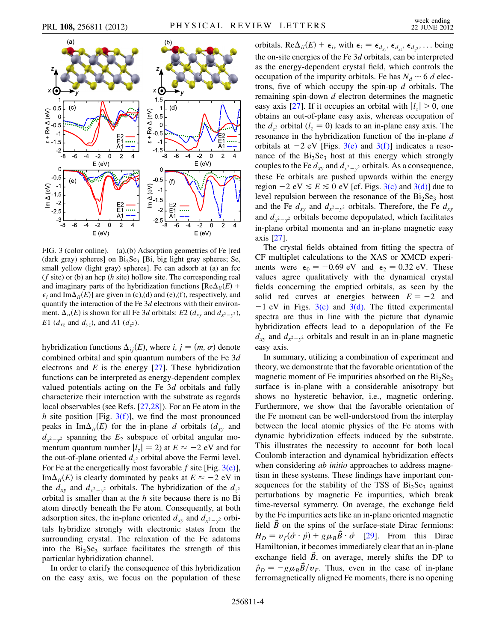



<span id="page-3-0"></span>FIG. 3 (color online). (a),(b) Adsorption geometries of Fe [red (dark gray) spheres] on  $Bi<sub>2</sub>Se<sub>3</sub>$  [Bi, big light gray spheres; Se, small yellow (light gray) spheres]. Fe can adsorb at (a) an fcc  $(f \text{ site})$  or (b) an hcp  $(h \text{ site})$  hollow site. The corresponding real and imaginary parts of the hybridization functions [ $\text{Re}\Delta_{ii}(E)$  +  $\epsilon_i$  and Im $\Delta_{ii}(E)$ ] are given in (c),(d) and (e),(f), respectively, and quantify the interaction of the Fe  $3d$  electrons with their environment.  $\Delta_{ii}(E)$  is shown for all Fe 3d orbitals: E2 ( $d_{xy}$  and  $d_{x^2-y^2}$ ), E1 ( $d_{xz}$  and  $d_{yz}$ ), and A1 ( $d_{z}$ 2).

hybridization functions  $\Delta_{ij}(E)$ , where  $i, j = (m, \sigma)$  denote combined orbital and spin quantum numbers of the Fe 3d electrons and  $E$  is the energy [\[27\]](#page-4-21). These hybridization functions can be interpreted as energy-dependent complex valued potentials acting on the Fe 3d orbitals and fully characterize their interaction with the substrate as regards local observables (see Refs. [\[27,](#page-4-21)[28\]](#page-4-22)). For an Fe atom in the h site position [Fig.  $3(f)$ ], we find the most pronounced peaks in Im $\Delta_{ii}(E)$  for the in-plane d orbitals ( $d_{xy}$  and  $d_{x^2-y^2}$  spanning the  $E_2$  subspace of orbital angular momentum quantum number  $|l_z| = 2$ ) at  $E \approx -2$  eV and for the out-of-plane oriented  $d_{z^2}$  orbital above the Fermi level. For Fe at the energetically most favorable f site [Fig.  $3(e)$ ], Im $\Delta_{ii}(E)$  is clearly dominated by peaks at  $E \approx -2$  eV in the  $d_{xy}$  and  $d_{x^2-y^2}$  orbitals. The hybridization of the  $d_{z^2}$ orbital is smaller than at the  $h$  site because there is no Bi atom directly beneath the Fe atom. Consequently, at both adsorption sites, the in-plane oriented  $d_{xy}$  and  $d_{x^2-y^2}$  orbitals hybridize strongly with electronic states from the surrounding crystal. The relaxation of the Fe adatoms into the  $Bi<sub>2</sub>Se<sub>3</sub>$  surface facilitates the strength of this particular hybridization channel.

In order to clarify the consequence of this hybridization on the easy axis, we focus on the population of these orbitals. Re $\Delta_{ii}(E) + \epsilon_i$ , with  $\epsilon_i = \epsilon_{d_{xx}}$ ,  $\epsilon_{d_{xx}}$ ,  $\epsilon_{d_2}$ , ... being the on-site energies of the Fe 3d orbitals, can be interpreted as the energy-dependent crystal field, which controls the occupation of the impurity orbitals. Fe has  $N_d \sim 6$  d electrons, five of which occupy the spin-up  $d$  orbitals. The remaining spin-down  $d$  electron determines the magnetic easy axis [[27](#page-4-21)]. If it occupies an orbital with  $|l_z| > 0$ , one obtains an out-of-plane easy axis, whereas occupation of the  $d_{z^2}$  orbital  $(l_z = 0)$  leads to an in-plane easy axis. The resonance in the hybridization function of the in-plane d orbitals at  $-2$  eV [Figs. [3\(e\)](#page-3-0) and 3(f)] indicates a resonance of the  $Bi<sub>2</sub>Se<sub>3</sub>$  host at this energy which strongly couples to the Fe  $d_{xy}$  and  $d_{x^2-y^2}$  orbitals. As a consequence, these Fe orbitals are pushed upwards within the energy region  $-2$  eV  $\le E \le 0$  eV [cf. Figs. [3\(c\)](#page-3-0) and [3\(d\)](#page-3-0)] due to level repulsion between the resonance of the  $Bi<sub>2</sub>Se<sub>3</sub>$  host and the Fe  $d_{xy}$  and  $d_{x^2-y^2}$  orbitals. Therefore, the Fe  $d_{xy}$ and  $d_{x^2-y^2}$  orbitals become depopulated, which facilitates in-plane orbital momenta and an in-plane magnetic easy axis [\[27\]](#page-4-21).

The crystal fields obtained from fitting the spectra of CF multiplet calculations to the XAS or XMCD experiments were  $\epsilon_0 = -0.69$  eV and  $\epsilon_2 = 0.32$  eV. These values agree qualitatively with the dynamical crystal fields concerning the emptied orbitals, as seen by the solid red curves at energies between  $E = -2$  and  $-1$  eV in Figs. [3\(c\)](#page-3-0) and [3\(d\)](#page-3-0). The fitted experimental spectra are thus in line with the picture that dynamic hybridization effects lead to a depopulation of the Fe  $d_{xy}$  and  $d_{x^2-y^2}$  orbitals and result in an in-plane magnetic easy axis.

In summary, utilizing a combination of experiment and theory, we demonstrate that the favorable orientation of the magnetic moment of Fe impurities absorbed on the  $Bi<sub>2</sub>Se<sub>3</sub>$ surface is in-plane with a considerable anisotropy but shows no hysteretic behavior, i.e., magnetic ordering. Furthermore, we show that the favorable orientation of the Fe moment can be well-understood from the interplay between the local atomic physics of the Fe atoms with dynamic hybridization effects induced by the substrate. This illustrates the necessity to account for both local Coulomb interaction and dynamical hybridization effects when considering *ab initio* approaches to address magnetism in these systems. These findings have important consequences for the stability of the TSS of  $Bi<sub>2</sub>Se<sub>3</sub>$  against perturbations by magnetic Fe impurities, which break time-reversal symmetry. On average, the exchange field by the Fe impurities acts like an in-plane oriented magnetic field  $\vec{B}$  on the spins of the surface-state Dirac fermions:  $H_D = v_f(\vec{\sigma} \cdot \vec{p}) + g \mu_B \vec{B} \cdot \vec{\sigma}$  [[29](#page-4-23)]. From this Dirac Hamiltonian, it becomes immediately clear that an in-plane exchange field  $\vec{B}$ , on average, merely shifts the DP to  $\vec{p}_D = -g\mu_B \vec{B}/v_F$ . Thus, even in the case of in-plane ferromagnetically aligned Fe moments, there is no opening